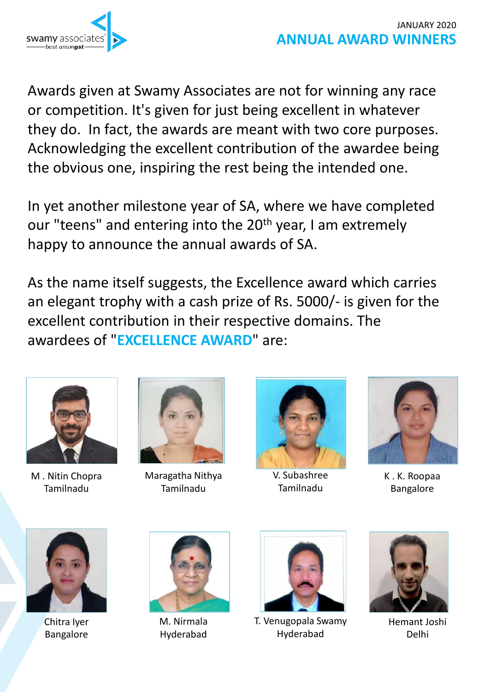

Awards given at Swamy Associates are not for winning any race or competition. It's given for just being excellent in whatever they do. In fact, the awards are meant with two core purposes. Acknowledging the excellent contribution of the awardee being the obvious one, inspiring the rest being the intended one.

In yet another milestone year of SA, where we have completed our "teens" and entering into the 20<sup>th</sup> year, I am extremely happy to announce the annual awards of SA.

As the name itself suggests, the Excellence award which carries an elegant trophy with a cash prize of Rs. 5000/- is given for the excellent contribution in their respective domains. The awardees of "**EXCELLENCE AWARD**" are:



M . Nitin Chopra Tamilnadu



Maragatha Nithya Tamilnadu



V. Subashree Tamilnadu



K . K. Roopaa Bangalore



Chitra Iyer Bangalore



M. Nirmala Hyderabad



T. Venugopala Swamy Hyderabad



Hemant Joshi Delhi